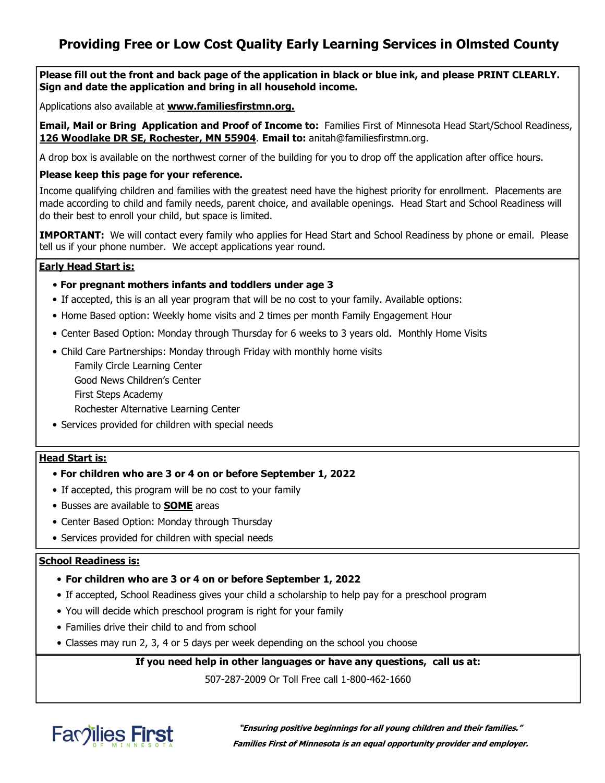## **Providing Free or Low Cost Quality Early Learning Services in Olmsted County**

**Please fill out the front and back page of the application in black or blue ink, and please PRINT CLEARLY. Sign and date the application and bring in all household income.** 

Applications also available at **www.familiesfirstmn.org.**

**Email, Mail or Bring Application and Proof of Income to:** Families First of Minnesota Head Start/School Readiness, **126 Woodlake DR SE, Rochester, MN 55904**. **Email to:** anitah@familiesfirstmn.org.

A drop box is available on the northwest corner of the building for you to drop off the application after office hours.

### **Please keep this page for your reference.**

Income qualifying children and families with the greatest need have the highest priority for enrollment. Placements are made according to child and family needs, parent choice, and available openings. Head Start and School Readiness will do their best to enroll your child, but space is limited.

**IMPORTANT:** We will contact every family who applies for Head Start and School Readiness by phone or email. Please tell us if your phone number. We accept applications year round.

### **Early Head Start is:**

- **For pregnant mothers infants and toddlers under age 3**
- If accepted, this is an all year program that will be no cost to your family. Available options:
- Home Based option: Weekly home visits and 2 times per month Family Engagement Hour
- Center Based Option: Monday through Thursday for 6 weeks to 3 years old. Monthly Home Visits
- Child Care Partnerships: Monday through Friday with monthly home visits

 Family Circle Learning Center Good News Children's Center First Steps Academy Rochester Alternative Learning Center

• Services provided for children with special needs

### **Head Start is:**

- **For children who are 3 or 4 on or before September 1, 2022**
- If accepted, this program will be no cost to your family
- Busses are available to **SOME** areas
- Center Based Option: Monday through Thursday
- Services provided for children with special needs

### **School Readiness is:**

- **For children who are 3 or 4 on or before September 1, 2022**
- If accepted, School Readiness gives your child a scholarship to help pay for a preschool program
- You will decide which preschool program is right for your family
- Families drive their child to and from school
- Classes may run 2, 3, 4 or 5 days per week depending on the school you choose

**If you need help in other languages or have any questions, call us at:** 

507-287-2009 Or Toll Free call 1-800-462-1660



**"Ensuring positive beginnings for all young children and their families." Families First of Minnesota is an equal opportunity provider and employer.**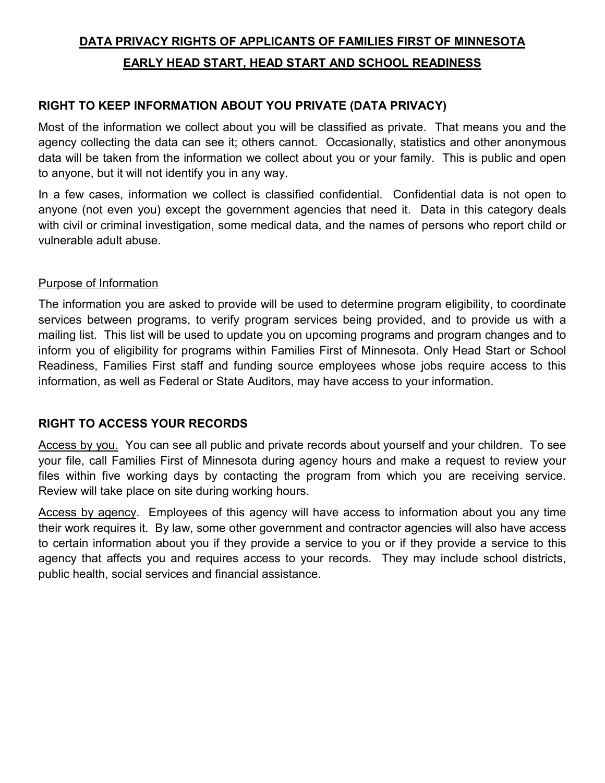# **DATA PRIVACY RIGHTS OF APPLICANTS OF FAMILIES FIRST OF MINNESOTA EARLY HEAD START, HEAD START AND SCHOOL READINESS**

## **RIGHT TO KEEP INFORMATION ABOUT YOU PRIVATE (DATA PRIVACY)**

Most of the information we collect about you will be classified as private. That means you and the agency collecting the data can see it; others cannot. Occasionally, statistics and other anonymous data will be taken from the information we collect about you or your family. This is public and open to anyone, but it will not identify you in any way.

In a few cases, information we collect is classified confidential. Confidential data is not open to anyone (not even you) except the government agencies that need it. Data in this category deals with civil or criminal investigation, some medical data, and the names of persons who report child or vulnerable adult abuse.

### Purpose of Information

The information you are asked to provide will be used to determine program eligibility, to coordinate services between programs, to verify program services being provided, and to provide us with a mailing list. This list will be used to update you on upcoming programs and program changes and to inform you of eligibility for programs within Families First of Minnesota. Only Head Start or School Readiness, Families First staff and funding source employees whose jobs require access to this information, as well as Federal or State Auditors, may have access to your information.

## **RIGHT TO ACCESS YOUR RECORDS**

Access by you. You can see all public and private records about yourself and your children. To see your file, call Families First of Minnesota during agency hours and make a request to review your files within five working days by contacting the program from which you are receiving service. Review will take place on site during working hours.

Access by agency. Employees of this agency will have access to information about you any time their work requires it. By law, some other government and contractor agencies will also have access to certain information about you if they provide a service to you or if they provide a service to this agency that affects you and requires access to your records. They may include school districts, public health, social services and financial assistance.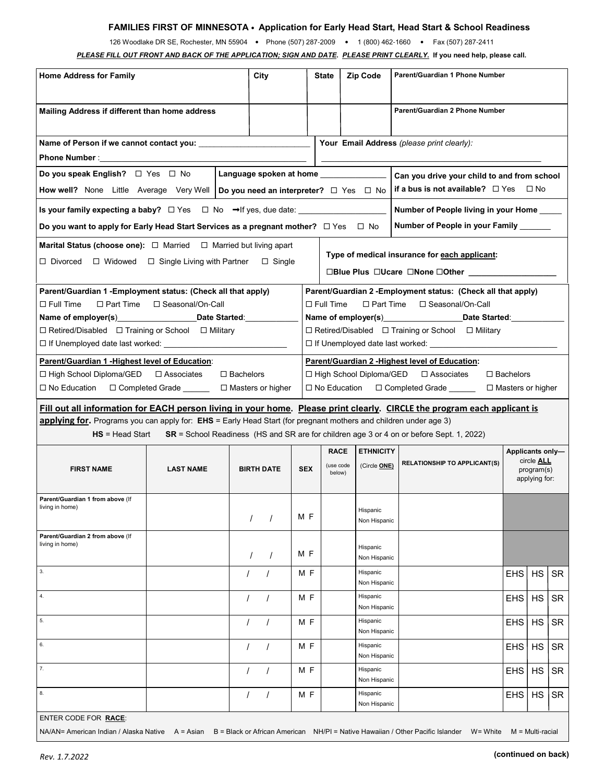### **FAMILIES FIRST OF MINNESOTA** • **Application for Early Head Start, Head Start & School Readiness**

126 Woodlake DR SE, Rochester, MN 55904 • Phone (507) 287-2009 • 1 (800) 462-1660 • Fax (507) 287-2411

*PLEASE FILL OUT FRONT AND BACK OF THE APPLICATION; SIGN AND DATE***.** *PLEASE PRINT CLEARLY.* **If you need help, please call.**

| <b>Home Address for Family</b>                                                                                                                                                             |                    |                                                                                                                                                                                                  |            | <b>State</b>                       | <b>Zip Code</b>                            | Parent/Guardian 1 Phone Number                                                           |                                                               |           |           |  |  |
|--------------------------------------------------------------------------------------------------------------------------------------------------------------------------------------------|--------------------|--------------------------------------------------------------------------------------------------------------------------------------------------------------------------------------------------|------------|------------------------------------|--------------------------------------------|------------------------------------------------------------------------------------------|---------------------------------------------------------------|-----------|-----------|--|--|
| Mailing Address if different than home address                                                                                                                                             |                    |                                                                                                                                                                                                  |            |                                    |                                            | Parent/Guardian 2 Phone Number                                                           |                                                               |           |           |  |  |
| Name of Person if we cannot contact you:                                                                                                                                                   |                    |                                                                                                                                                                                                  |            |                                    | Your Email Address (please print clearly): |                                                                                          |                                                               |           |           |  |  |
|                                                                                                                                                                                            |                    |                                                                                                                                                                                                  |            |                                    |                                            |                                                                                          |                                                               |           |           |  |  |
| Do you speak English? $\Box$ Yes $\Box$ No                                                                                                                                                 |                    | Language spoken at home _______________<br>Can you drive your child to and from school                                                                                                           |            |                                    |                                            |                                                                                          |                                                               |           |           |  |  |
| if a bus is not available? $\Box$ Yes $\Box$ No<br><b>How well?</b> None Little Average Very Well   Do you need an interpreter? $\Box$ Yes $\Box$ No                                       |                    |                                                                                                                                                                                                  |            |                                    |                                            |                                                                                          |                                                               |           |           |  |  |
| Is your family expecting a baby? $\Box$ Yes $\Box$ No $\rightarrow$ If yes, due date:<br>Number of People living in your Home                                                              |                    |                                                                                                                                                                                                  |            |                                    |                                            |                                                                                          |                                                               |           |           |  |  |
| Number of People in your Family ______<br>Do you want to apply for Early Head Start Services as a pregnant mother? $\Box$ Yes $\Box$ No                                                    |                    |                                                                                                                                                                                                  |            |                                    |                                            |                                                                                          |                                                               |           |           |  |  |
| <b>Marital Status (choose one):</b> $\Box$ Married $\Box$ Married but living apart                                                                                                         |                    |                                                                                                                                                                                                  |            |                                    |                                            |                                                                                          |                                                               |           |           |  |  |
| $\Box$ Divorced $\Box$ Widowed $\Box$ Single Living with Partner                                                                                                                           |                    | Type of medical insurance for each applicant:                                                                                                                                                    |            |                                    |                                            |                                                                                          |                                                               |           |           |  |  |
| Parent/Guardian 1 - Employment status: (Check all that apply)<br>$\square$ Part Time<br>$\square$ Full Time<br>$\Box$ Retired/Disabled $\Box$ Training or School $\Box$ Military           | □ Seasonal/On-Call | Parent/Guardian 2 - Employment status: (Check all that apply)<br>$\Box$ Full Time<br>$\Box$ Part Time<br>□ Seasonal/On-Call<br>$\Box$ Retired/Disabled $\Box$ Training or School $\Box$ Military |            |                                    |                                            |                                                                                          |                                                               |           |           |  |  |
| Parent/Guardian 1 - Highest level of Education:<br>Parent/Guardian 2 - Highest level of Education:                                                                                         |                    |                                                                                                                                                                                                  |            |                                    |                                            |                                                                                          |                                                               |           |           |  |  |
| □ Associates<br>$\Box$ Bachelors<br>□ High School Diploma/GED<br>$\Box$ Bachelors<br>$\Box$ High School Diploma/GED<br>□ Associates                                                        |                    |                                                                                                                                                                                                  |            |                                    |                                            |                                                                                          |                                                               |           |           |  |  |
| □ Completed Grade _______ □ Masters or higher<br>□ No Education □ Completed Grade ______<br>□ No Education<br>$\Box$ Masters or higher                                                     |                    |                                                                                                                                                                                                  |            |                                    |                                            |                                                                                          |                                                               |           |           |  |  |
| Fill out all information for EACH person living in your home. Please print clearly. CIRCLE the program each applicant is                                                                   |                    |                                                                                                                                                                                                  |            |                                    |                                            |                                                                                          |                                                               |           |           |  |  |
| applying for. Programs you can apply for: EHS = Early Head Start (for pregnant mothers and children under age 3)                                                                           |                    |                                                                                                                                                                                                  |            |                                    |                                            |                                                                                          |                                                               |           |           |  |  |
| $HS = Head Start$                                                                                                                                                                          |                    |                                                                                                                                                                                                  |            |                                    |                                            | SR = School Readiness (HS and SR are for children age 3 or 4 on or before Sept. 1, 2022) |                                                               |           |           |  |  |
| <b>FIRST NAME</b>                                                                                                                                                                          | <b>LAST NAME</b>   | <b>BIRTH DATE</b>                                                                                                                                                                                | <b>SEX</b> | <b>RACE</b><br>(use code<br>below) | <b>ETHNICITY</b><br>(Circle ONE)           | <b>RELATIONSHIP TO APPLICANT(S)</b>                                                      | Applicants only-<br>circle ALL<br>program(s)<br>applying for: |           |           |  |  |
| Parent/Guardian 1 from above (If<br>living in home)                                                                                                                                        |                    |                                                                                                                                                                                                  | M F        |                                    | Hispanic<br>Non Hispanic                   |                                                                                          |                                                               |           |           |  |  |
| Parent/Guardian 2 from above (If<br>living in home)                                                                                                                                        |                    |                                                                                                                                                                                                  | M F        |                                    | Hispanic<br>Non Hispanic                   |                                                                                          |                                                               |           |           |  |  |
| 3.                                                                                                                                                                                         |                    |                                                                                                                                                                                                  | M F        |                                    | Hispanic<br>Non Hispanic                   |                                                                                          | <b>EHS</b>                                                    | <b>HS</b> | <b>SR</b> |  |  |
| 4.                                                                                                                                                                                         |                    | $\prime$                                                                                                                                                                                         | M F        |                                    | Hispanic<br>Non Hispanic                   |                                                                                          | <b>EHS</b>                                                    | <b>HS</b> | <b>SR</b> |  |  |
| 5.                                                                                                                                                                                         |                    | $\prime$                                                                                                                                                                                         | MF         |                                    | Hispanic<br>Non Hispanic                   |                                                                                          | <b>EHS</b>                                                    | HS        | <b>SR</b> |  |  |
| 6.                                                                                                                                                                                         |                    | $\prime$                                                                                                                                                                                         | MF         |                                    | Hispanic<br>Non Hispanic                   |                                                                                          | <b>EHS</b>                                                    | HS        | <b>SR</b> |  |  |
| 7.                                                                                                                                                                                         |                    |                                                                                                                                                                                                  | M F        |                                    | Hispanic<br>Non Hispanic                   |                                                                                          | <b>EHS</b>                                                    | HS        | <b>SR</b> |  |  |
| 8.                                                                                                                                                                                         |                    |                                                                                                                                                                                                  | M F        |                                    | Hispanic<br>Non Hispanic                   |                                                                                          | <b>EHS</b>                                                    | HS        | <b>SR</b> |  |  |
| ENTER CODE FOR RACE:<br>NA/AN= American Indian / Alaska Native A = Asian B = Black or African American NH/PI = Native Hawaiian / Other Pacific Islander<br>W= White<br>$M = Multi$ -racial |                    |                                                                                                                                                                                                  |            |                                    |                                            |                                                                                          |                                                               |           |           |  |  |